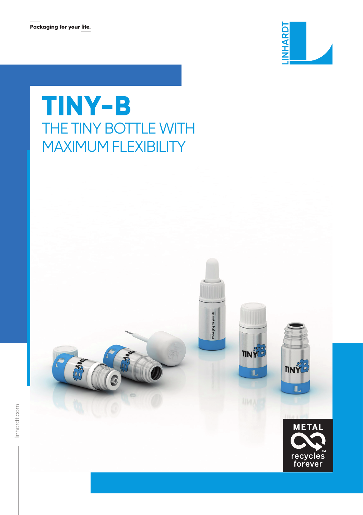

## **TINY-B** THE TINY BOTTLE WITH MAXIMUM FLEXIBILITY



Packaging for your life.

**TINY** 

ī.





TINYE

ī.